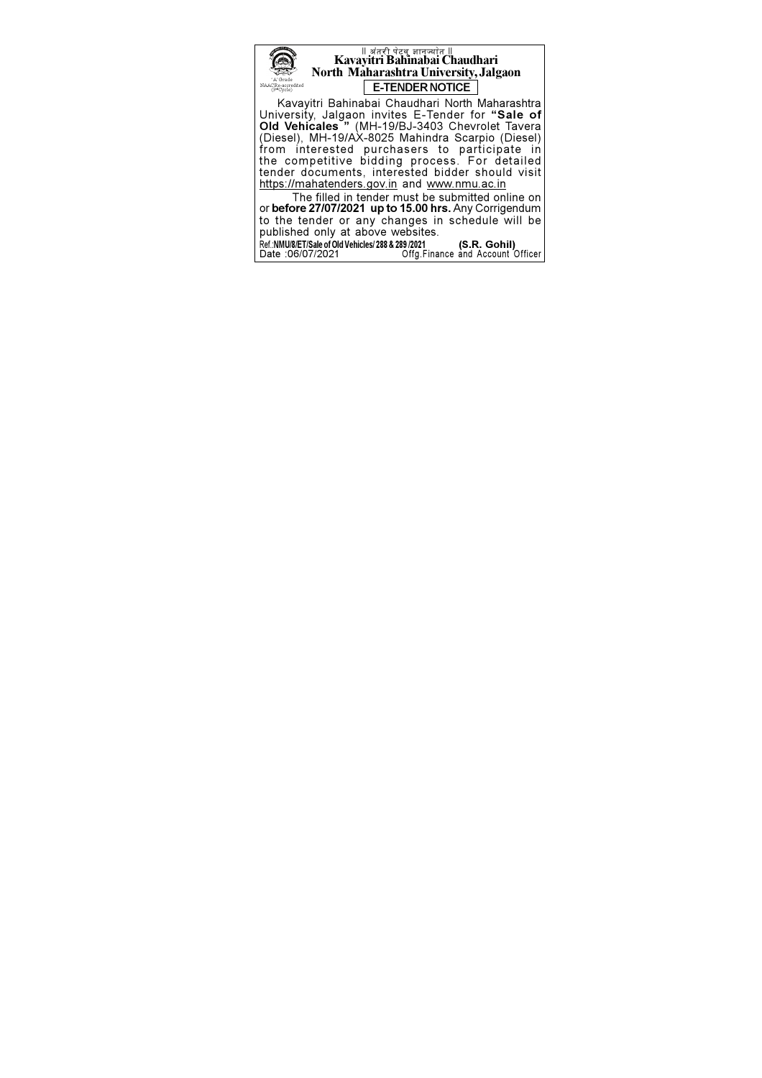

#### ् ॥ अंतरी पेटवू ज्ञानज्योत ॥<br>Kavayitri Bahinabai Chaudhari North Maharashtra University, Jalgaon E-TENDER NOTICE

Kavayitri Bahinabai Chaudhari North Maharashtra University, Jalgaon invites E-Tender for "Sale of<br>Old Vehicales " (MH-19/BJ-3403 Chevrolet Tavera<br>(Diesel), MH-19/AX-8025 Mahindra Scarpio (Diesel) from interested purchasers to participate in<br>the competitive bidding process. For detailed<br>tender documents, interested bidder should visit https://mahatenders.gov.in and www.nmu.ac.in

The filled in tender must be submitted online on or before 27/07/2021 up to 15.00 hrs. Any Corrigendum<br>to the tender or any changes in schedule will be published only at above websites. (S.R. Gohil)

Ref.:NMU/8/ET/Sale of Old Vehicles/ 288 & 289/2021<br>Date :06/07/2021 Offg.Finance and Account Officer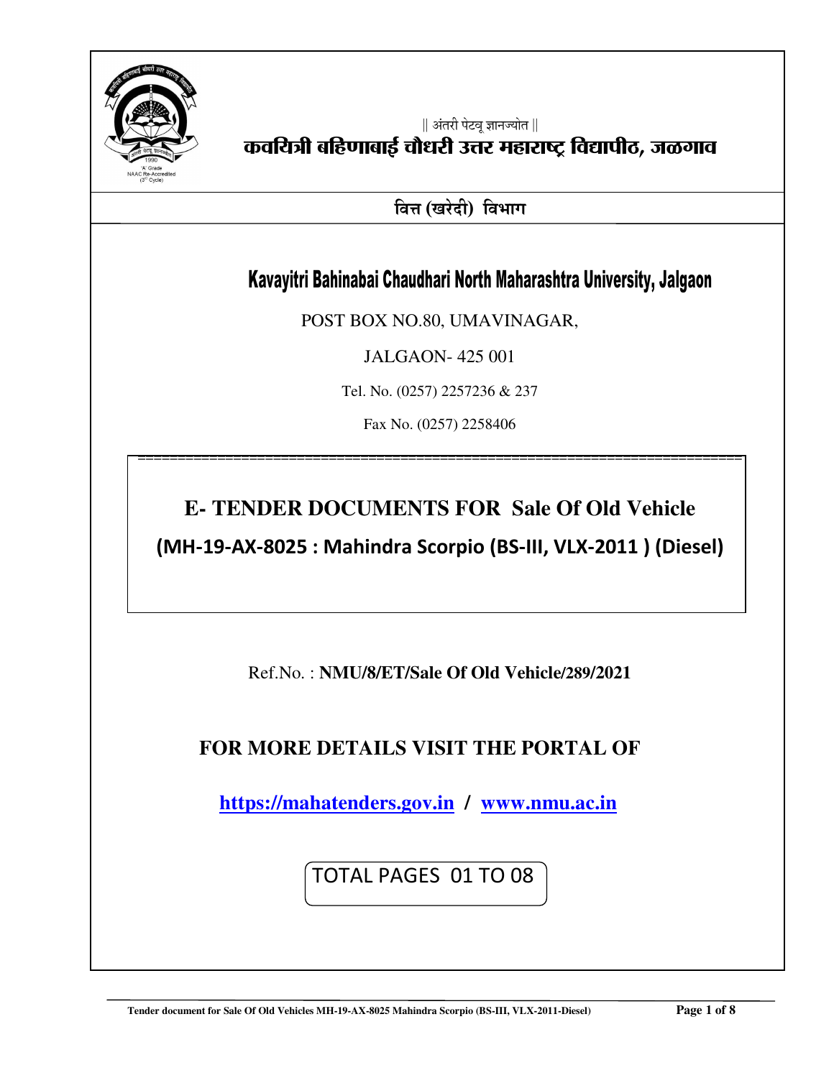

|| अंतरी पेटवू ज्ञानज्योत ||

# कवयित्री बहिणाबाई चौधरी उत्तर महाराष्ट्र विद्यापीठ, जळगाव

**बित्त (खरेदी) विभाग** 

## Kavayitri Bahinabai Chaudhari North Maharashtra University, Jalgaon

POST BOX NO.80, UMAVINAGAR,

JALGAON- 425 001

Tel. No. (0257) 2257236 & 237

Fax No. (0257) 2258406

============================================================================

# **E- TENDER DOCUMENTS FOR Sale Of Old Vehicle**

**(MH-19-AX-8025 : Mahindra Scorpio (BS-III, VLX-2011 ) (Diesel)** 

Ref.No. : **NMU/8/ET/Sale Of Old Vehicle/289/2021**

### **FOR MORE DETAILS VISIT THE PORTAL OF**

 **https://mahatenders.gov.in / www.nmu.ac.in** 

TOTAL PAGES 01 TO 08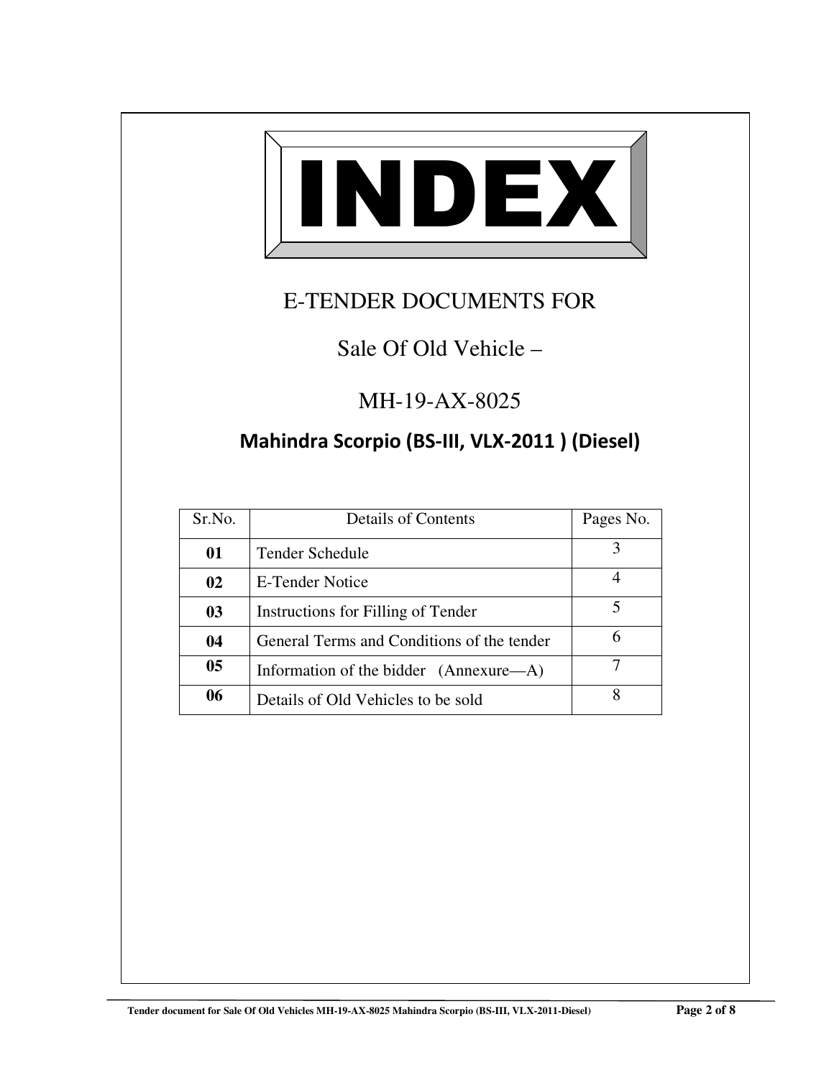

# E-TENDER DOCUMENTS FOR

## Sale Of Old Vehicle –

## MH-19-AX-8025

## **Mahindra Scorpio (BS-III, VLX-2011 ) (Diesel)**

| Sr.No.         | <b>Details of Contents</b>                 | Pages No. |
|----------------|--------------------------------------------|-----------|
| 01             | Tender Schedule                            | 3         |
| 02             | E-Tender Notice                            |           |
| 03             | Instructions for Filling of Tender         |           |
| 04             | General Terms and Conditions of the tender | 6         |
| 0 <sub>5</sub> | Information of the bidder (Annexure—A)     |           |
| 06             | Details of Old Vehicles to be sold         |           |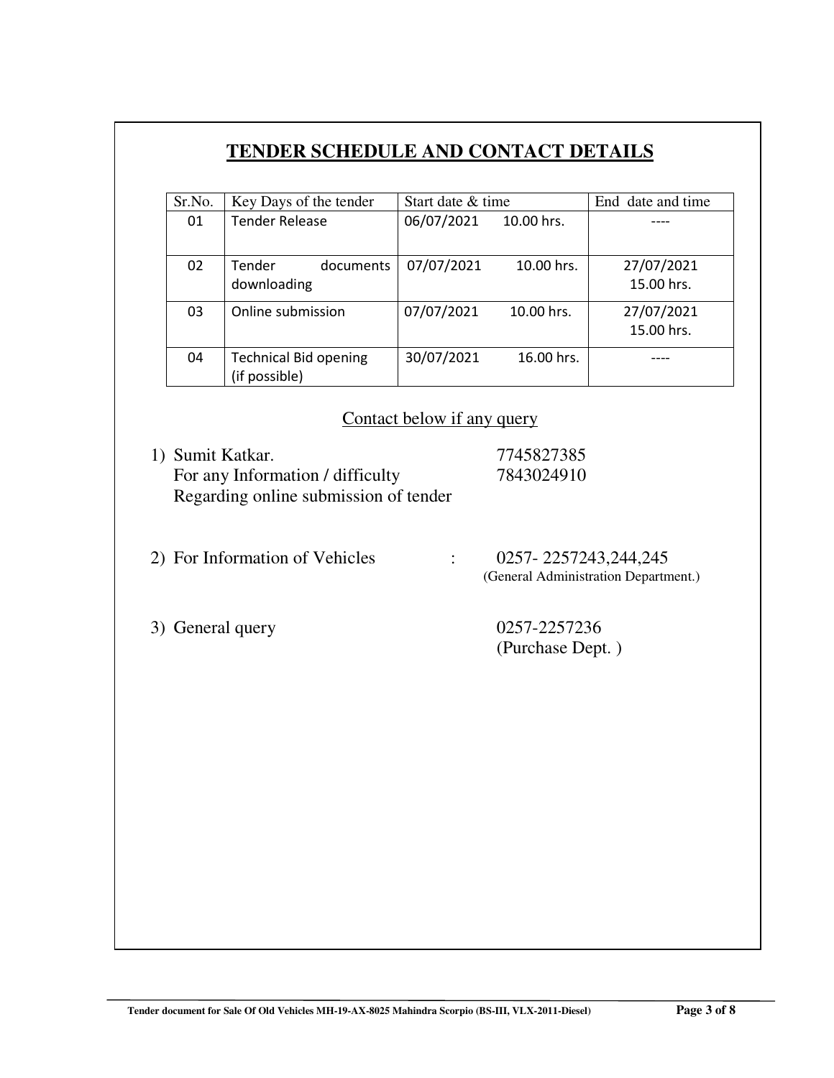### **TENDER SCHEDULE AND CONTACT DETAILS**

| Sr.No. | Key Days of the tender                        | Start date & time |            | End date and time        |
|--------|-----------------------------------------------|-------------------|------------|--------------------------|
| 01     | <b>Tender Release</b>                         | 06/07/2021        | 10.00 hrs. |                          |
| 02     | <b>Tender</b><br>documents<br>downloading     | 07/07/2021        | 10.00 hrs. | 27/07/2021<br>15.00 hrs. |
| 03     | Online submission                             | 07/07/2021        | 10.00 hrs. | 27/07/2021<br>15.00 hrs. |
| 04     | <b>Technical Bid opening</b><br>(if possible) | 30/07/2021        | 16.00 hrs. |                          |

#### Contact below if any query

- 1) Sumit Katkar. 7745827385 For any Information / difficulty 7843024910 Regarding online submission of tender
- 2) For Information of Vehicles : 0257- 2257243,244,245 (General Administration Department.)

3) General query 0257-2257236

(Purchase Dept. )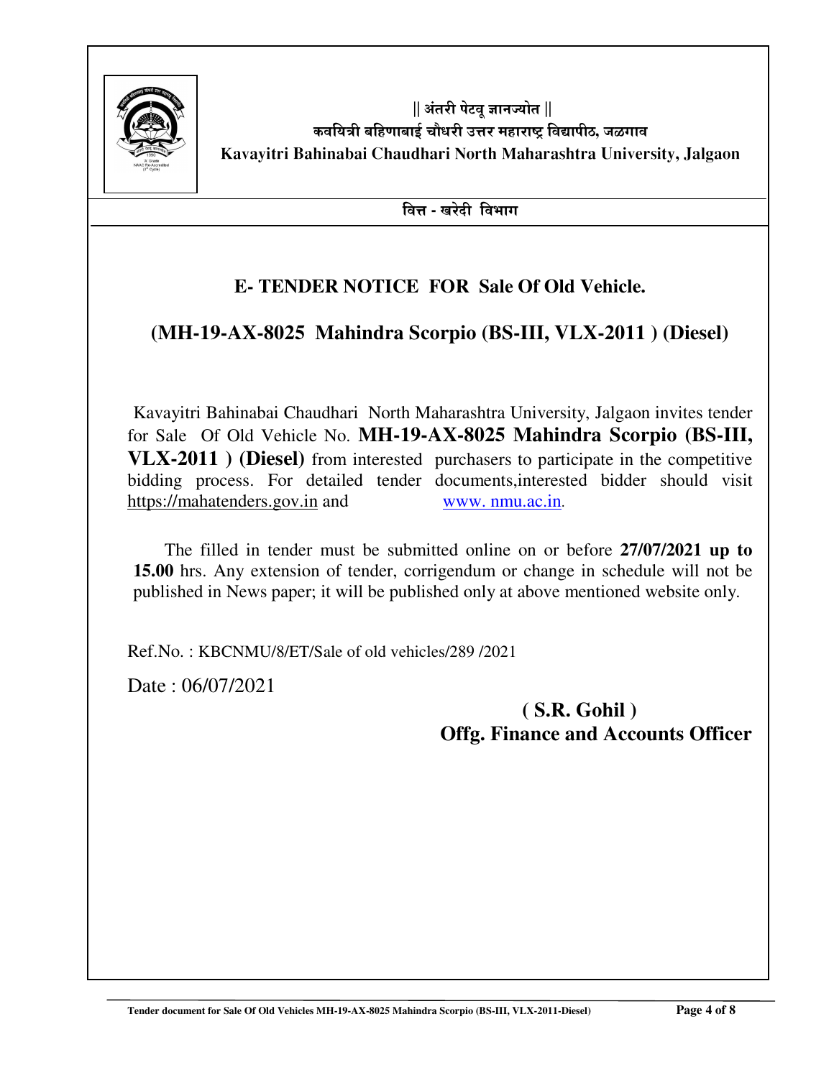

 $||$  अंतरी पेटव ज्ञानज्योत  $||$ कवयित्री बहिणाबाई चौधरी उत्तर महाराष्ट्र विद्यापीठ, जळगाव **Kavayitri Bahinabai Chaudhari North Maharashtra University, Jalgaon** 

**बित्त - खरेदी विभाग** 

### **E- TENDER NOTICE FOR Sale Of Old Vehicle.**

### **(MH-19-AX-8025 Mahindra Scorpio (BS-III, VLX-2011 ) (Diesel)**

 Kavayitri Bahinabai Chaudhari North Maharashtra University, Jalgaon invites tender for Sale Of Old Vehicle No. **MH-19-AX-8025 Mahindra Scorpio (BS-III, VLX-2011 ) (Diesel)** from interested purchasers to participate in the competitive bidding process. For detailed tender documents,interested bidder should visit https://mahatenders.gov.in and www. nmu.ac.in.

 The filled in tender must be submitted online on or before **27/07/2021 up to 15.00** hrs. Any extension of tender, corrigendum or change in schedule will not be published in News paper; it will be published only at above mentioned website only.

Ref.No. : KBCNMU/8/ET/Sale of old vehicles/289 /2021

Date : 06/07/2021

### **( S.R. Gohil ) Offg. Finance and Accounts Officer**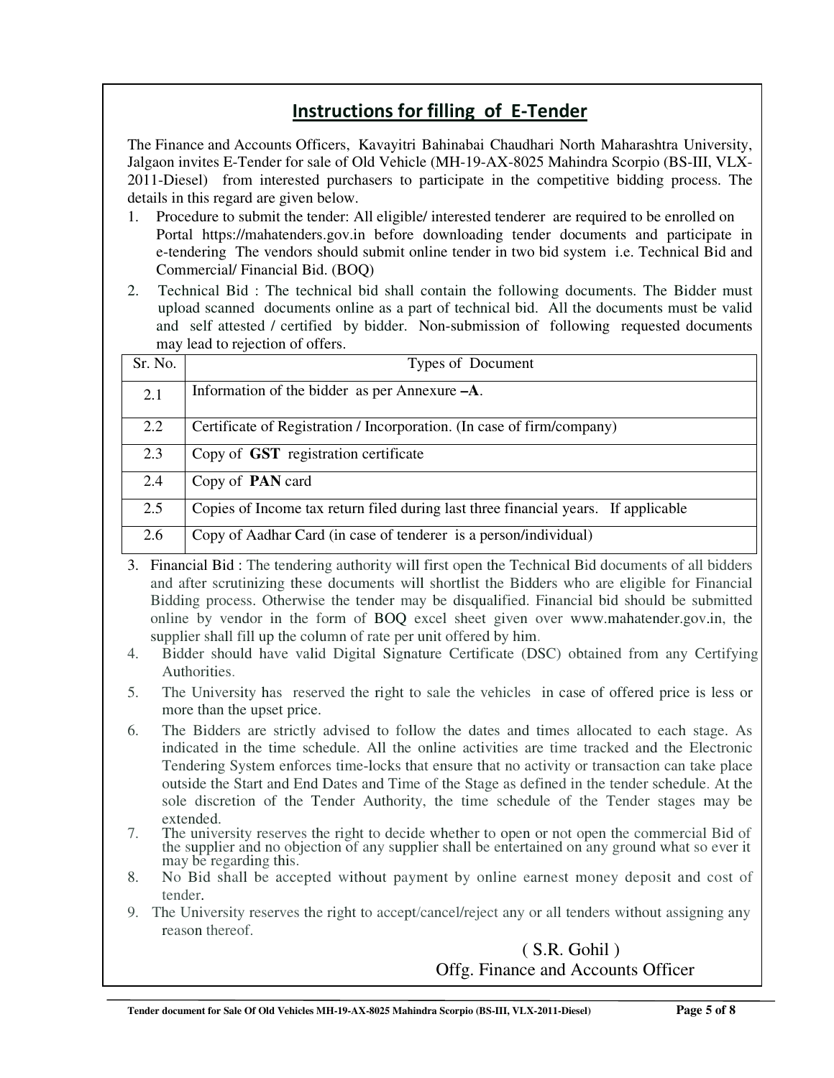### **Instructions for filling of E-Tender**

The Finance and Accounts Officers, Kavayitri Bahinabai Chaudhari North Maharashtra University, Jalgaon invites E-Tender for sale of Old Vehicle (MH-19-AX-8025 Mahindra Scorpio (BS-III, VLX-2011-Diesel) from interested purchasers to participate in the competitive bidding process. The details in this regard are given below.

- 1. Procedure to submit the tender: All eligible/ interested tenderer are required to be enrolled on Portal https://mahatenders.gov.in before downloading tender documents and participate in e-tendering The vendors should submit online tender in two bid system i.e. Technical Bid and Commercial/ Financial Bid. (BOQ)
- 2. Technical Bid : The technical bid shall contain the following documents. The Bidder must upload scanned documents online as a part of technical bid. All the documents must be valid and self attested / certified by bidder. Non-submission of following requested documents may lead to rejection of offers.

| Sr. No. | Types of Document                                                                  |  |
|---------|------------------------------------------------------------------------------------|--|
| 2.1     | Information of the bidder as per Annexure -A.                                      |  |
| 2.2     | Certificate of Registration / Incorporation. (In case of firm/company)             |  |
| 2.3     | Copy of <b>GST</b> registration certificate                                        |  |
| 2.4     | Copy of <b>PAN</b> card                                                            |  |
| 2.5     | Copies of Income tax return filed during last three financial years. If applicable |  |
| 2.6     | Copy of Aadhar Card (in case of tenderer is a person/individual)                   |  |

3. Financial Bid : The tendering authority will first open the Technical Bid documents of all bidders and after scrutinizing these documents will shortlist the Bidders who are eligible for Financial Bidding process. Otherwise the tender may be disqualified. Financial bid should be submitted online by vendor in the form of BOQ excel sheet given over www.mahatender.gov.in, the supplier shall fill up the column of rate per unit offered by him.

- 4. Bidder should have valid Digital Signature Certificate (DSC) obtained from any Certifying Authorities.
- 5. The University has reserved the right to sale the vehicles in case of offered price is less or more than the upset price.
- 6. The Bidders are strictly advised to follow the dates and times allocated to each stage. As indicated in the time schedule. All the online activities are time tracked and the Electronic Tendering System enforces time-locks that ensure that no activity or transaction can take place outside the Start and End Dates and Time of the Stage as defined in the tender schedule. At the sole discretion of the Tender Authority, the time schedule of the Tender stages may be extended.
- 7. The university reserves the right to decide whether to open or not open the commercial Bid of the supplier and no objection of any supplier shall be entertained on any ground what so ever it may be regarding this.
- 8. No Bid shall be accepted without payment by online earnest money deposit and cost of tender.
- 9. The University reserves the right to accept/cancel/reject any or all tenders without assigning any reason thereof.

#### ( S.R. Gohil ) Offg. Finance and Accounts Officer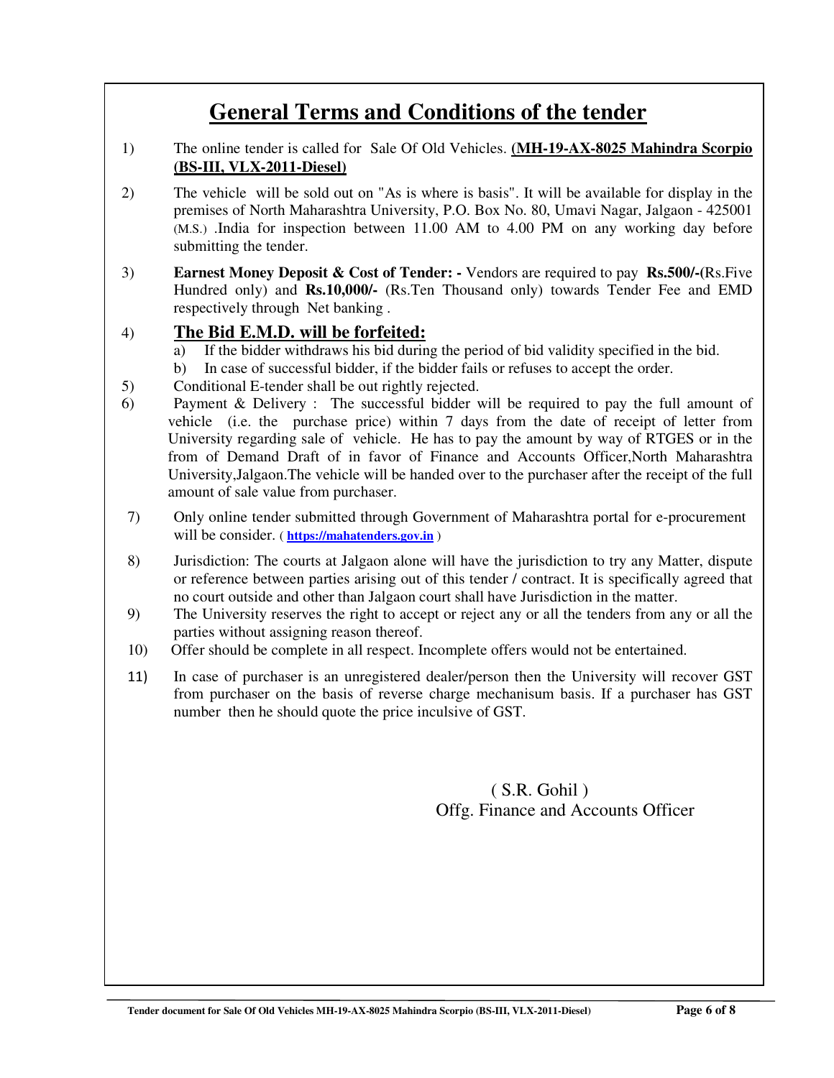# **General Terms and Conditions of the tender**

- 1) The online tender is called for Sale Of Old Vehicles. **(MH-19-AX-8025 Mahindra Scorpio (BS-III, VLX-2011-Diesel)**
- 2) The vehicle will be sold out on "As is where is basis". It will be available for display in the premises of North Maharashtra University, P.O. Box No. 80, Umavi Nagar, Jalgaon - 425001 (M.S.) .India for inspection between 11.00 AM to 4.00 PM on any working day before submitting the tender.
- 3) **Earnest Money Deposit & Cost of Tender:** Vendors are required to pay **Rs.500/-(**Rs.Five Hundred only) and **Rs.10,000/-** (Rs.Ten Thousand only) towards Tender Fee and EMD respectively through Net banking .

#### 4) **The Bid E.M.D. will be forfeited:**

- a) If the bidder withdraws his bid during the period of bid validity specified in the bid.
- b) In case of successful bidder, if the bidder fails or refuses to accept the order.
- 5) Conditional E-tender shall be out rightly rejected.
- 6) Payment & Delivery : The successful bidder will be required to pay the full amount of vehicle (i.e. the purchase price) within 7 days from the date of receipt of letter from University regarding sale of vehicle. He has to pay the amount by way of RTGES or in the from of Demand Draft of in favor of Finance and Accounts Officer,North Maharashtra University,Jalgaon.The vehicle will be handed over to the purchaser after the receipt of the full amount of sale value from purchaser.
- 7) Only online tender submitted through Government of Maharashtra portal for e-procurement will be consider. ( **https://mahatenders.gov.in** )
- 8) Jurisdiction: The courts at Jalgaon alone will have the jurisdiction to try any Matter, dispute or reference between parties arising out of this tender / contract. It is specifically agreed that no court outside and other than Jalgaon court shall have Jurisdiction in the matter.
- 9) The University reserves the right to accept or reject any or all the tenders from any or all the parties without assigning reason thereof.
- 10) Offer should be complete in all respect. Incomplete offers would not be entertained.
- 11) In case of purchaser is an unregistered dealer/person then the University will recover GST from purchaser on the basis of reverse charge mechanisum basis. If a purchaser has GST number then he should quote the price inculsive of GST.

#### ( S.R. Gohil ) Offg. Finance and Accounts Officer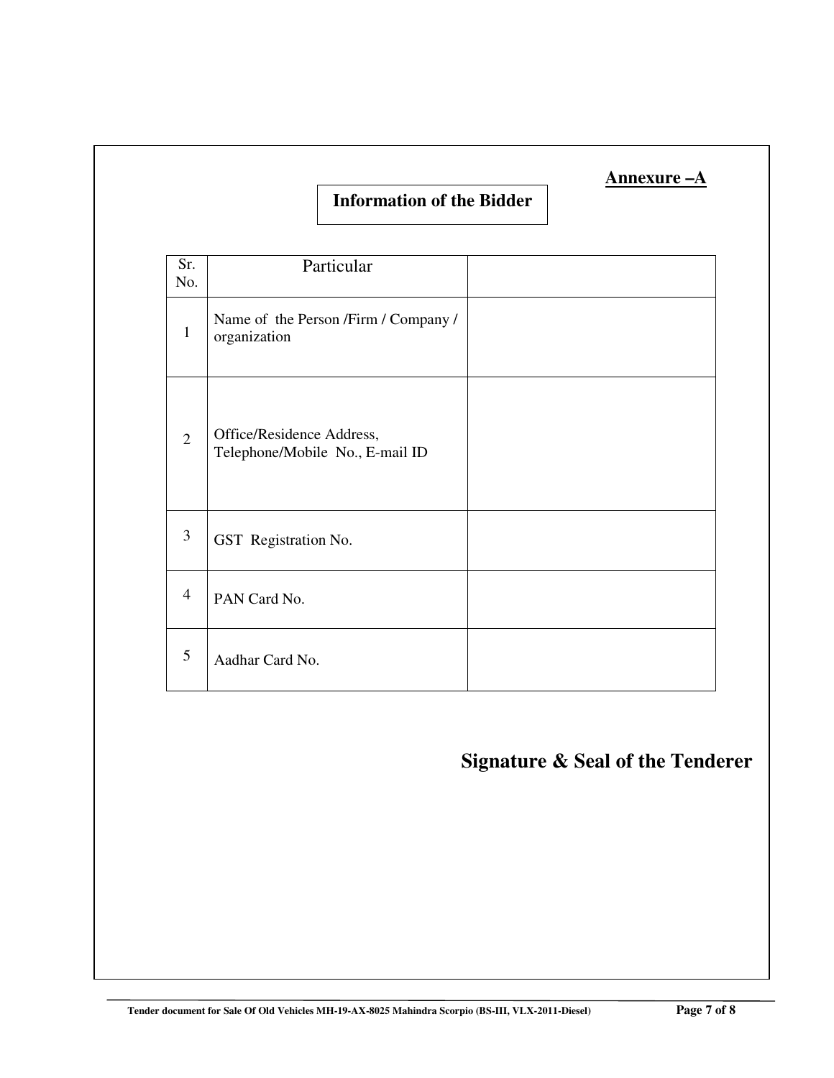#### **Information of the Bidder**

| Sr.<br>No.     | Particular                                                   |  |
|----------------|--------------------------------------------------------------|--|
| $\mathbf{1}$   | Name of the Person /Firm / Company /<br>organization         |  |
| $\overline{2}$ | Office/Residence Address,<br>Telephone/Mobile No., E-mail ID |  |
| 3              | GST Registration No.                                         |  |
| $\overline{4}$ | PAN Card No.                                                 |  |
| 5              | Aadhar Card No.                                              |  |

# **Signature & Seal of the Tenderer**

 **Annexure –A**